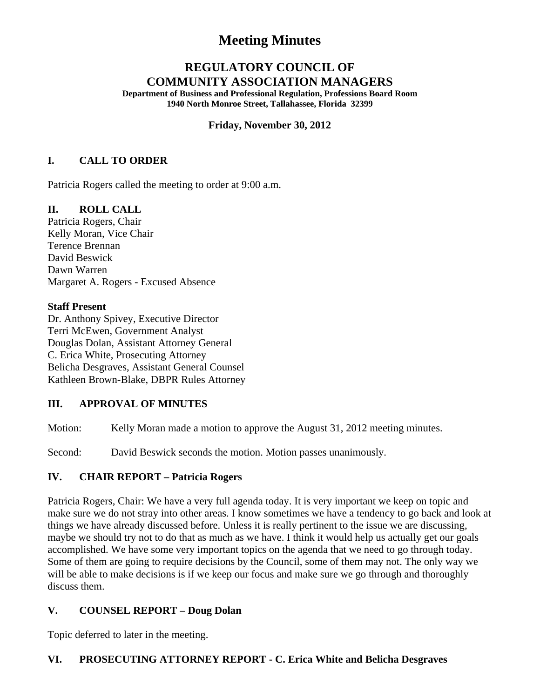# **Meeting Minutes**

# **REGULATORY COUNCIL OF COMMUNITY ASSOCIATION MANAGERS**

**Department of Business and Professional Regulation, Professions Board Room 1940 North Monroe Street, Tallahassee, Florida 32399** 

#### **Friday, November 30, 2012**

## **I. CALL TO ORDER**

Patricia Rogers called the meeting to order at 9:00 a.m.

## **II. ROLL CALL**

Patricia Rogers, Chair Kelly Moran, Vice Chair Terence Brennan David Beswick Dawn Warren Margaret A. Rogers - Excused Absence

#### **Staff Present**

Dr. Anthony Spivey, Executive Director Terri McEwen, Government Analyst Douglas Dolan, Assistant Attorney General C. Erica White, Prosecuting Attorney Belicha Desgraves, Assistant General Counsel Kathleen Brown-Blake, DBPR Rules Attorney

## **III. APPROVAL OF MINUTES**

Motion: Kelly Moran made a motion to approve the August 31, 2012 meeting minutes.

Second: David Beswick seconds the motion. Motion passes unanimously.

#### **IV. CHAIR REPORT – Patricia Rogers**

Patricia Rogers, Chair: We have a very full agenda today. It is very important we keep on topic and make sure we do not stray into other areas. I know sometimes we have a tendency to go back and look at things we have already discussed before. Unless it is really pertinent to the issue we are discussing, maybe we should try not to do that as much as we have. I think it would help us actually get our goals accomplished. We have some very important topics on the agenda that we need to go through today. Some of them are going to require decisions by the Council, some of them may not. The only way we will be able to make decisions is if we keep our focus and make sure we go through and thoroughly discuss them.

## **V. COUNSEL REPORT – Doug Dolan**

Topic deferred to later in the meeting.

#### **VI. PROSECUTING ATTORNEY REPORT - C. Erica White and Belicha Desgraves**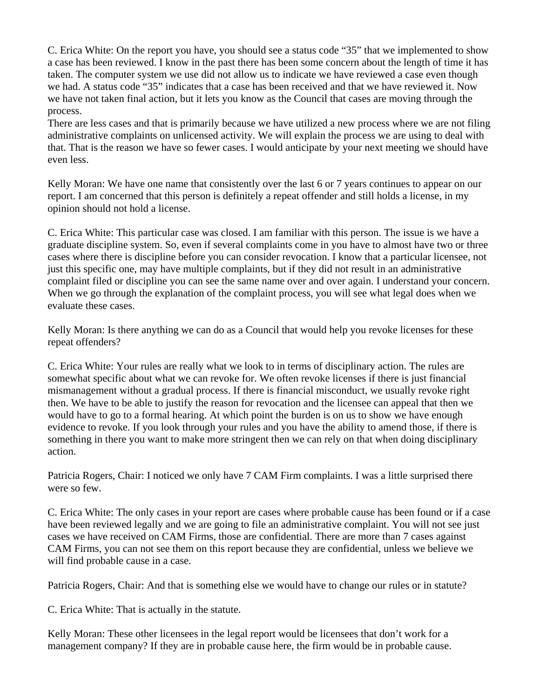C. Erica White: On the report you have, you should see a status code "35" that we implemented to show a case has been reviewed. I know in the past there has been some concern about the length of time it has taken. The computer system we use did not allow us to indicate we have reviewed a case even though we had. A status code "35" indicates that a case has been received and that we have reviewed it. Now we have not taken final action, but it lets you know as the Council that cases are moving through the process.

There are less cases and that is primarily because we have utilized a new process where we are not filing administrative complaints on unlicensed activity. We will explain the process we are using to deal with that. That is the reason we have so fewer cases. I would anticipate by your next meeting we should have even less.

Kelly Moran: We have one name that consistently over the last 6 or 7 years continues to appear on our report. I am concerned that this person is definitely a repeat offender and still holds a license, in my opinion should not hold a license.

C. Erica White: This particular case was closed. I am familiar with this person. The issue is we have a graduate discipline system. So, even if several complaints come in you have to almost have two or three cases where there is discipline before you can consider revocation. I know that a particular licensee, not just this specific one, may have multiple complaints, but if they did not result in an administrative complaint filed or discipline you can see the same name over and over again. I understand your concern. When we go through the explanation of the complaint process, you will see what legal does when we evaluate these cases.

Kelly Moran: Is there anything we can do as a Council that would help you revoke licenses for these repeat offenders?

C. Erica White: Your rules are really what we look to in terms of disciplinary action. The rules are somewhat specific about what we can revoke for. We often revoke licenses if there is just financial mismanagement without a gradual process. If there is financial misconduct, we usually revoke right then. We have to be able to justify the reason for revocation and the licensee can appeal that then we would have to go to a formal hearing. At which point the burden is on us to show we have enough evidence to revoke. If you look through your rules and you have the ability to amend those, if there is something in there you want to make more stringent then we can rely on that when doing disciplinary action.

Patricia Rogers, Chair: I noticed we only have 7 CAM Firm complaints. I was a little surprised there were so few.

C. Erica White: The only cases in your report are cases where probable cause has been found or if a case have been reviewed legally and we are going to file an administrative complaint. You will not see just cases we have received on CAM Firms, those are confidential. There are more than 7 cases against CAM Firms, you can not see them on this report because they are confidential, unless we believe we will find probable cause in a case.

Patricia Rogers, Chair: And that is something else we would have to change our rules or in statute?

C. Erica White: That is actually in the statute.

Kelly Moran: These other licensees in the legal report would be licensees that don't work for a management company? If they are in probable cause here, the firm would be in probable cause.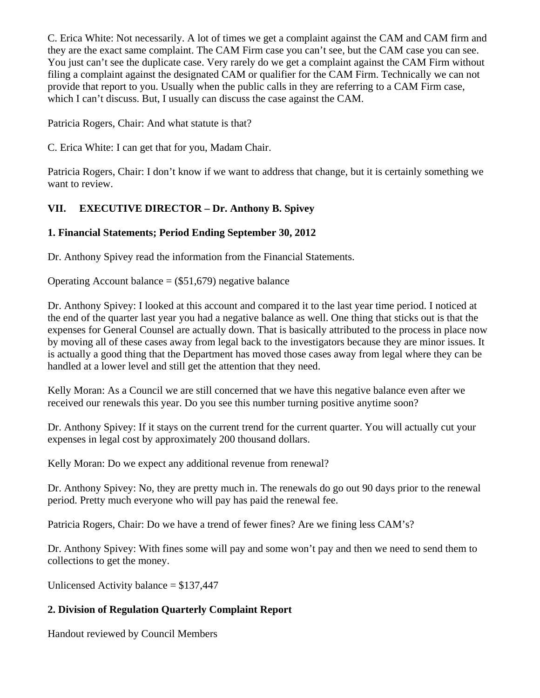C. Erica White: Not necessarily. A lot of times we get a complaint against the CAM and CAM firm and they are the exact same complaint. The CAM Firm case you can't see, but the CAM case you can see. You just can't see the duplicate case. Very rarely do we get a complaint against the CAM Firm without filing a complaint against the designated CAM or qualifier for the CAM Firm. Technically we can not provide that report to you. Usually when the public calls in they are referring to a CAM Firm case, which I can't discuss. But, I usually can discuss the case against the CAM.

Patricia Rogers, Chair: And what statute is that?

C. Erica White: I can get that for you, Madam Chair.

Patricia Rogers, Chair: I don't know if we want to address that change, but it is certainly something we want to review.

# **VII. EXECUTIVE DIRECTOR – Dr. Anthony B. Spivey**

# **1. Financial Statements; Period Ending September 30, 2012**

Dr. Anthony Spivey read the information from the Financial Statements.

Operating Account balance  $=$  (\$51,679) negative balance

Dr. Anthony Spivey: I looked at this account and compared it to the last year time period. I noticed at the end of the quarter last year you had a negative balance as well. One thing that sticks out is that the expenses for General Counsel are actually down. That is basically attributed to the process in place now by moving all of these cases away from legal back to the investigators because they are minor issues. It is actually a good thing that the Department has moved those cases away from legal where they can be handled at a lower level and still get the attention that they need.

Kelly Moran: As a Council we are still concerned that we have this negative balance even after we received our renewals this year. Do you see this number turning positive anytime soon?

Dr. Anthony Spivey: If it stays on the current trend for the current quarter. You will actually cut your expenses in legal cost by approximately 200 thousand dollars.

Kelly Moran: Do we expect any additional revenue from renewal?

Dr. Anthony Spivey: No, they are pretty much in. The renewals do go out 90 days prior to the renewal period. Pretty much everyone who will pay has paid the renewal fee.

Patricia Rogers, Chair: Do we have a trend of fewer fines? Are we fining less CAM's?

Dr. Anthony Spivey: With fines some will pay and some won't pay and then we need to send them to collections to get the money.

Unlicensed Activity balance = \$137,447

# **2. Division of Regulation Quarterly Complaint Report**

Handout reviewed by Council Members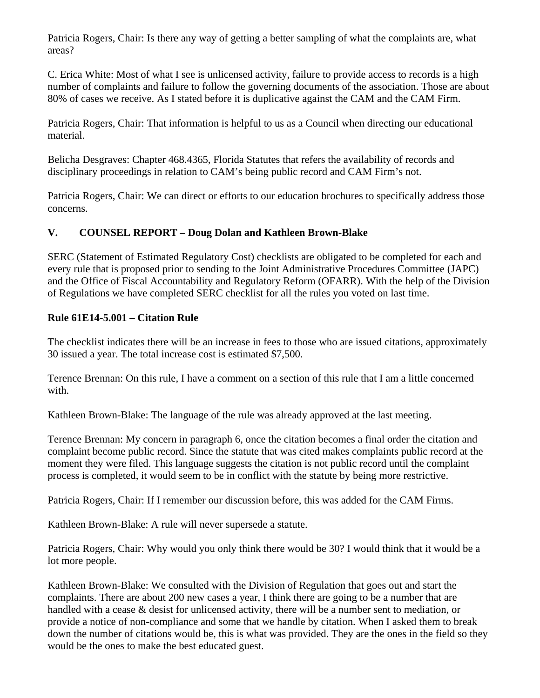Patricia Rogers, Chair: Is there any way of getting a better sampling of what the complaints are, what areas?

C. Erica White: Most of what I see is unlicensed activity, failure to provide access to records is a high number of complaints and failure to follow the governing documents of the association. Those are about 80% of cases we receive. As I stated before it is duplicative against the CAM and the CAM Firm.

Patricia Rogers, Chair: That information is helpful to us as a Council when directing our educational material.

Belicha Desgraves: Chapter 468.4365, Florida Statutes that refers the availability of records and disciplinary proceedings in relation to CAM's being public record and CAM Firm's not.

Patricia Rogers, Chair: We can direct or efforts to our education brochures to specifically address those concerns.

## **V. COUNSEL REPORT – Doug Dolan and Kathleen Brown-Blake**

SERC (Statement of Estimated Regulatory Cost) checklists are obligated to be completed for each and every rule that is proposed prior to sending to the Joint Administrative Procedures Committee (JAPC) and the Office of Fiscal Accountability and Regulatory Reform (OFARR). With the help of the Division of Regulations we have completed SERC checklist for all the rules you voted on last time.

## **Rule 61E14-5.001 – Citation Rule**

The checklist indicates there will be an increase in fees to those who are issued citations, approximately 30 issued a year. The total increase cost is estimated \$7,500.

Terence Brennan: On this rule, I have a comment on a section of this rule that I am a little concerned with.

Kathleen Brown-Blake: The language of the rule was already approved at the last meeting.

Terence Brennan: My concern in paragraph 6, once the citation becomes a final order the citation and complaint become public record. Since the statute that was cited makes complaints public record at the moment they were filed. This language suggests the citation is not public record until the complaint process is completed, it would seem to be in conflict with the statute by being more restrictive.

Patricia Rogers, Chair: If I remember our discussion before, this was added for the CAM Firms.

Kathleen Brown-Blake: A rule will never supersede a statute.

Patricia Rogers, Chair: Why would you only think there would be 30? I would think that it would be a lot more people.

Kathleen Brown-Blake: We consulted with the Division of Regulation that goes out and start the complaints. There are about 200 new cases a year, I think there are going to be a number that are handled with a cease & desist for unlicensed activity, there will be a number sent to mediation, or provide a notice of non-compliance and some that we handle by citation. When I asked them to break down the number of citations would be, this is what was provided. They are the ones in the field so they would be the ones to make the best educated guest.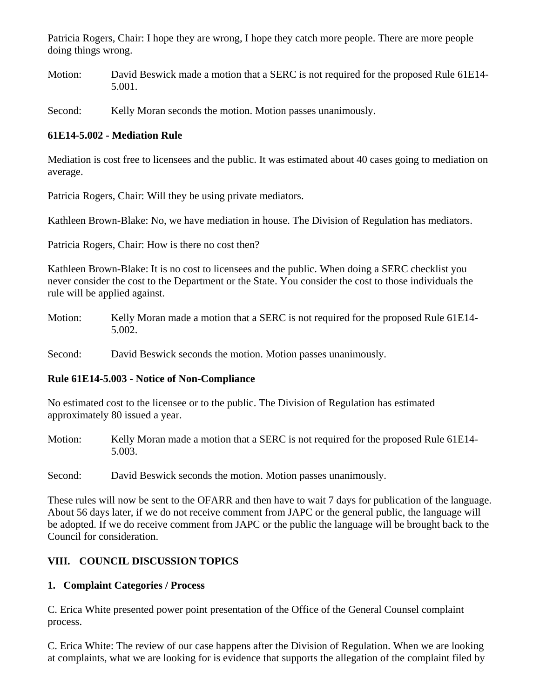Patricia Rogers, Chair: I hope they are wrong, I hope they catch more people. There are more people doing things wrong.

Motion: David Beswick made a motion that a SERC is not required for the proposed Rule 61E14- 5.001.

Second: Kelly Moran seconds the motion. Motion passes unanimously.

## **61E14-5.002 - Mediation Rule**

Mediation is cost free to licensees and the public. It was estimated about 40 cases going to mediation on average.

Patricia Rogers, Chair: Will they be using private mediators.

Kathleen Brown-Blake: No, we have mediation in house. The Division of Regulation has mediators.

Patricia Rogers, Chair: How is there no cost then?

Kathleen Brown-Blake: It is no cost to licensees and the public. When doing a SERC checklist you never consider the cost to the Department or the State. You consider the cost to those individuals the rule will be applied against.

Motion: Kelly Moran made a motion that a SERC is not required for the proposed Rule 61E14- 5.002.

Second: David Beswick seconds the motion. Motion passes unanimously.

#### **Rule 61E14-5.003 - Notice of Non-Compliance**

No estimated cost to the licensee or to the public. The Division of Regulation has estimated approximately 80 issued a year.

Motion: Kelly Moran made a motion that a SERC is not required for the proposed Rule 61E14- 5.003.

Second: David Beswick seconds the motion. Motion passes unanimously.

These rules will now be sent to the OFARR and then have to wait 7 days for publication of the language. About 56 days later, if we do not receive comment from JAPC or the general public, the language will be adopted. If we do receive comment from JAPC or the public the language will be brought back to the Council for consideration.

## **VIII. COUNCIL DISCUSSION TOPICS**

## **1. Complaint Categories / Process**

C. Erica White presented power point presentation of the Office of the General Counsel complaint process.

C. Erica White: The review of our case happens after the Division of Regulation. When we are looking at complaints, what we are looking for is evidence that supports the allegation of the complaint filed by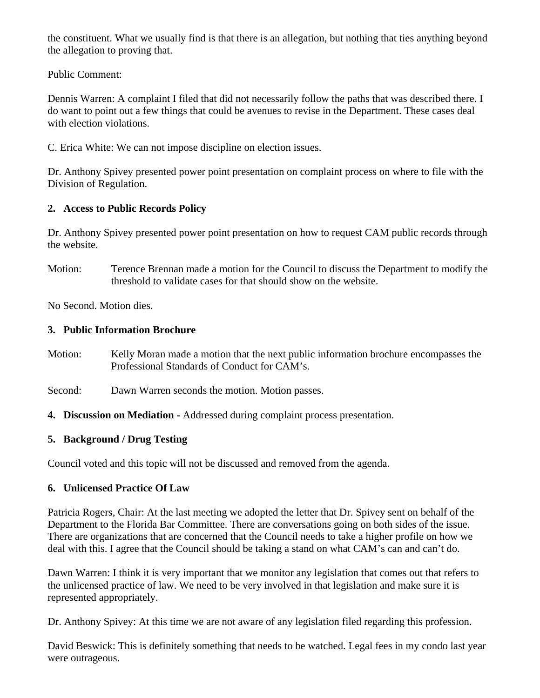the constituent. What we usually find is that there is an allegation, but nothing that ties anything beyond the allegation to proving that.

Public Comment:

Dennis Warren: A complaint I filed that did not necessarily follow the paths that was described there. I do want to point out a few things that could be avenues to revise in the Department. These cases deal with election violations.

C. Erica White: We can not impose discipline on election issues.

Dr. Anthony Spivey presented power point presentation on complaint process on where to file with the Division of Regulation.

# **2. Access to Public Records Policy**

Dr. Anthony Spivey presented power point presentation on how to request CAM public records through the website.

Motion: Terence Brennan made a motion for the Council to discuss the Department to modify the threshold to validate cases for that should show on the website.

No Second. Motion dies.

## **3. Public Information Brochure**

- Motion: Kelly Moran made a motion that the next public information brochure encompasses the Professional Standards of Conduct for CAM's.
- Second: Dawn Warren seconds the motion. Motion passes.
- **4. Discussion on Mediation -** Addressed during complaint process presentation.

# **5. Background / Drug Testing**

Council voted and this topic will not be discussed and removed from the agenda.

# **6. Unlicensed Practice Of Law**

Patricia Rogers, Chair: At the last meeting we adopted the letter that Dr. Spivey sent on behalf of the Department to the Florida Bar Committee. There are conversations going on both sides of the issue. There are organizations that are concerned that the Council needs to take a higher profile on how we deal with this. I agree that the Council should be taking a stand on what CAM's can and can't do.

Dawn Warren: I think it is very important that we monitor any legislation that comes out that refers to the unlicensed practice of law. We need to be very involved in that legislation and make sure it is represented appropriately.

Dr. Anthony Spivey: At this time we are not aware of any legislation filed regarding this profession.

David Beswick: This is definitely something that needs to be watched. Legal fees in my condo last year were outrageous.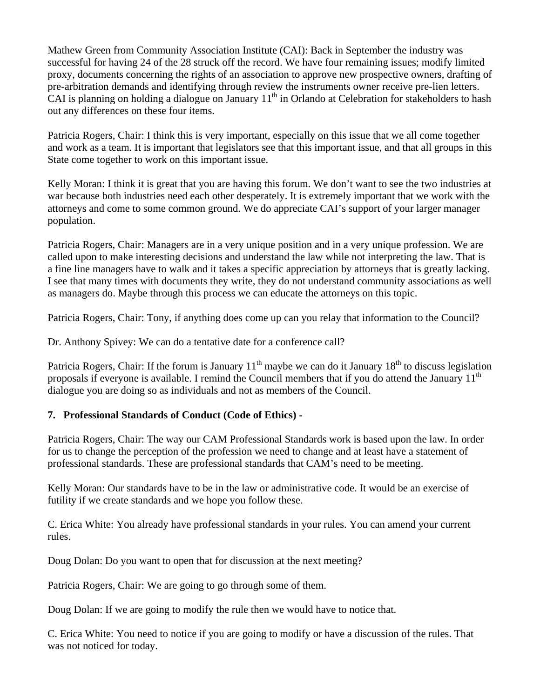Mathew Green from Community Association Institute (CAI): Back in September the industry was successful for having 24 of the 28 struck off the record. We have four remaining issues; modify limited proxy, documents concerning the rights of an association to approve new prospective owners, drafting of pre-arbitration demands and identifying through review the instruments owner receive pre-lien letters. CAI is planning on holding a dialogue on January  $11<sup>th</sup>$  in Orlando at Celebration for stakeholders to hash out any differences on these four items.

Patricia Rogers, Chair: I think this is very important, especially on this issue that we all come together and work as a team. It is important that legislators see that this important issue, and that all groups in this State come together to work on this important issue.

Kelly Moran: I think it is great that you are having this forum. We don't want to see the two industries at war because both industries need each other desperately. It is extremely important that we work with the attorneys and come to some common ground. We do appreciate CAI's support of your larger manager population.

Patricia Rogers, Chair: Managers are in a very unique position and in a very unique profession. We are called upon to make interesting decisions and understand the law while not interpreting the law. That is a fine line managers have to walk and it takes a specific appreciation by attorneys that is greatly lacking. I see that many times with documents they write, they do not understand community associations as well as managers do. Maybe through this process we can educate the attorneys on this topic.

Patricia Rogers, Chair: Tony, if anything does come up can you relay that information to the Council?

Dr. Anthony Spivey: We can do a tentative date for a conference call?

Patricia Rogers, Chair: If the forum is January  $11<sup>th</sup>$  maybe we can do it January  $18<sup>th</sup>$  to discuss legislation proposals if everyone is available. I remind the Council members that if you do attend the January  $11<sup>th</sup>$ dialogue you are doing so as individuals and not as members of the Council.

# **7. Professional Standards of Conduct (Code of Ethics) -**

Patricia Rogers, Chair: The way our CAM Professional Standards work is based upon the law. In order for us to change the perception of the profession we need to change and at least have a statement of professional standards. These are professional standards that CAM's need to be meeting.

Kelly Moran: Our standards have to be in the law or administrative code. It would be an exercise of futility if we create standards and we hope you follow these.

C. Erica White: You already have professional standards in your rules. You can amend your current rules.

Doug Dolan: Do you want to open that for discussion at the next meeting?

Patricia Rogers, Chair: We are going to go through some of them.

Doug Dolan: If we are going to modify the rule then we would have to notice that.

C. Erica White: You need to notice if you are going to modify or have a discussion of the rules. That was not noticed for today.